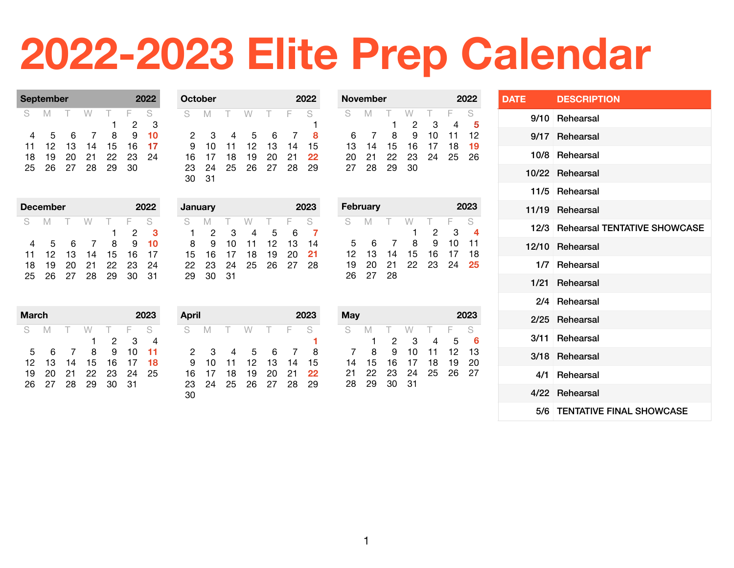## **2022-2023 Elite Prep Calendar**

| <b>September</b> |    | 2022 |                |    |    |    |
|------------------|----|------|----------------|----|----|----|
| S.               | M  |      | W              |    | F  | S  |
|                  |    |      |                |    | 2  | 3  |
| 4                | 5. | 6    | $\overline{7}$ | 8  | 9  | 10 |
| 11               | 12 | 13   | 14             | 15 | 16 | 17 |
| 18               | 19 | 20   | 21             | 22 | 23 | 24 |
| 25               | 26 | 27   | 28             | 29 | 30 |    |
|                  |    |      |                |    |    |    |

| October |    | 2022   |                 |           |      |    |
|---------|----|--------|-----------------|-----------|------|----|
| S       | M  | $\top$ | W               | $-\Gamma$ | - F  | S  |
|         |    |        |                 |           |      |    |
| 2       | З  | 4      | $5\overline{)}$ | 6         |      | 8  |
| 9       | 10 | 11     | 12              | 13        | 14   | 15 |
| 16      | 17 | 18     | 19              | 20        | 21   | 22 |
| 23      | 24 | 25     | 26 27           |           | - 28 | 29 |
|         | 31 |        |                 |           |      |    |

|    |        | 2022            |            |     |    |
|----|--------|-----------------|------------|-----|----|
| M  | $\top$ |                 | $\top$     | F.  | S  |
|    |        |                 |            | 2   | З  |
| 5  | 6      | $\overline{7}$  | 8          | 9   | 10 |
| 12 | 13     | 14              | 15         | 16  | 17 |
| 19 | 20     | -21             | -22        | -23 | 24 |
| 26 |        |                 | 29         | 30  | 31 |
|    |        | <b>December</b> | W<br>27 28 |     |    |

| January |     | 2023 |    |    |    |    |
|---------|-----|------|----|----|----|----|
| S       | M   |      | W  |    | F  | S  |
| ٦       | 2   | З    | 4  | 5  | 6  |    |
| 8       | 9   | 10   | 11 | 12 | 13 | 14 |
| 15      | 16  | 17   | 18 | 19 | 20 | 21 |
| 22      | 23  | 24   | 25 | 26 | 27 | 28 |
| 29      | מר: | 31   |    |    |    |    |

**April 2023** S M T W T F S 27 28 29 30 31 **1** 3 4 5 6 7 8 10 11 12 13 14 15 17 18 19 20 21 **22** 24 25 26 27 28 29 2  $45$  6  $45$  6  $45$  6  $45$  6  $45$  6  $45$  6  $45$  6  $45$  6  $45$  6  $45$  6  $45$  6  $45$  6  $45$  6  $45$  6  $45$  6  $45$  6  $45$  6  $45$  6  $45$  6  $45$  6  $45$  6  $45$  6  $45$  6  $45$  6  $45$  6  $45$  6  $45$  6  $45$  6  $45$  6  $45$  6  $45$ 

| November<br>2022 |    |     |     |    |     |    |  |  |
|------------------|----|-----|-----|----|-----|----|--|--|
| S                | M  | - F | W   | T. | - F | S  |  |  |
|                  |    | 1   | 2   | З  | 4   | 5  |  |  |
| 6                |    | 8   | я   | 10 | 11  | 12 |  |  |
| 13               | 14 | 15  | 16  | 17 | 18  | 19 |  |  |
| 20               | 21 | 22  | -23 | 24 | 25  | 26 |  |  |
| 27               | 28 | 29  | 30  |    |     |    |  |  |

|    | <b>February</b> |    | 2023          |    |    |    |    |
|----|-----------------|----|---------------|----|----|----|----|
| S  |                 | M  | - F.          | W  |    | E  | S. |
|    |                 |    |               | 1  | 2  | З  | 4  |
|    | 5               | 6  | $\mathcal{I}$ | 8  | 9  | 10 | 11 |
| 12 |                 | 13 | 14            | 15 | 16 | 17 | 18 |
| 19 |                 | 20 | 21            | 22 | 23 | 24 | 25 |
| 26 |                 | 27 | 28            |    |    |    |    |

| Mav |    |    |    |      |          | 2023 |
|-----|----|----|----|------|----------|------|
| S   | M  | Т. | W  | T    | $\vdash$ | S    |
|     |    | 2  | З  |      | 5        | 6    |
|     | 8  | 9  | 10 | 11   | 12       | 13   |
| 14  | 15 | 16 | 17 | 18   | 19       | 20   |
| 21  | 22 | 23 | 24 | - 25 | 26       | 27   |
| 28  | 29 | 30 | 31 |      |          |      |

| <b>DATE</b> | <b>DESCRIPTION</b>                  |
|-------------|-------------------------------------|
|             | 9/10 Rehearsal                      |
|             | 9/17 Rehearsal                      |
|             | 10/8 Rehearsal                      |
|             | 10/22 Rehearsal                     |
|             | 11/5 Rehearsal                      |
|             | 11/19 Rehearsal                     |
| 12/3        | <b>Rehearsal TENTATIVE SHOWCASE</b> |
|             | 12/10 Rehearsal                     |
|             | 1/7 Rehearsal                       |
|             | 1/21 Rehearsal                      |
|             | 2/4 Rehearsal                       |
| 2/25        | Rehearsal                           |
| 3/11        | Rehearsal                           |
|             | 3/18 Rehearsal                      |
|             | 4/1 Rehearsal                       |
|             | 4/22 Rehearsal                      |
|             | 5/6 TENTATIVE FINAL SHOWCASE        |

| March |    |                | 2023 |    |    |    |
|-------|----|----------------|------|----|----|----|
| S     | М  |                | W    | т. | F  | S  |
|       |    |                |      | 2  | З  |    |
| 5     | 6  | $\overline{7}$ | 8    | 9  | 10 | 11 |
| 12    | 13 | 14             | 15   | 16 | 17 | 18 |
| 19    | 20 | 21             | 22   | 23 | 24 | 25 |
| 26    | 27 | 28             | 29   | 30 | 31 |    |

1